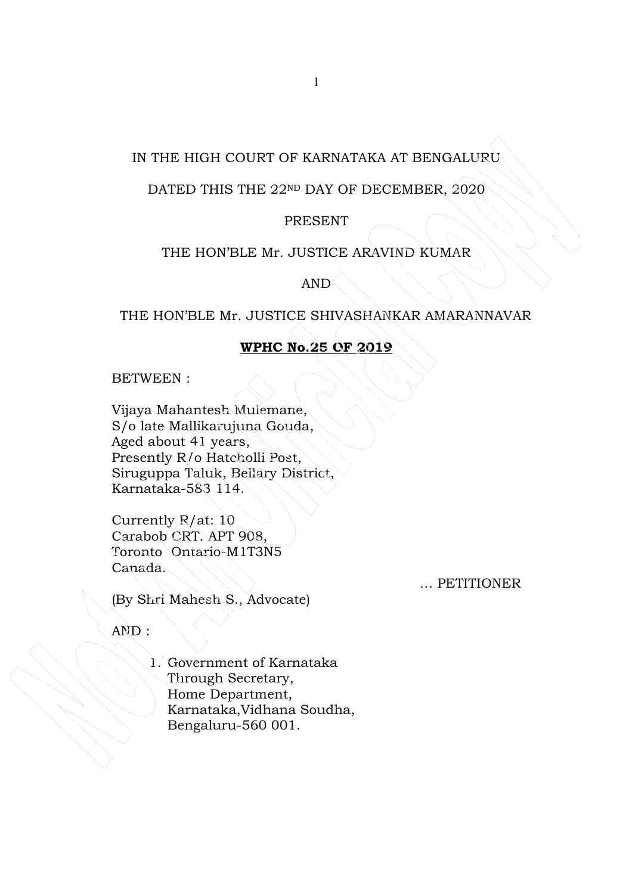# IN THE HIGH COURT OF KARNATAKA AT BENGALURU

## DATED THIS THE 22ND DAY OF DECEMBER, 2020

### PRESENT

### THE HON'BLE Mr. JUSTICE ARAVIND KUMAR

AND

#### THE HON'BLE Mr. JUSTICE SHIVASHANKAR AMARANNAVAR

### **WPHC No.25 OF 2019**

BETWEEN :

Vijaya Mahantesh Mulemane, S/o late Mallikarujuna Gouda, Aged about 41 years, Presently R/o Hatcholli Post, Siruguppa Taluk, Bellary District, Karnataka-583 114.

Currently R/at: 10 Carabob CRT. APT 908, Toronto Ontario-M1T3N5 Canada.

… PETITIONER

(By Shri Mahesh S., Advocate)

AND :

1. Government of Karnataka Through Secretary, Home Department, Karnataka,Vidhana Soudha, Bengaluru-560 001.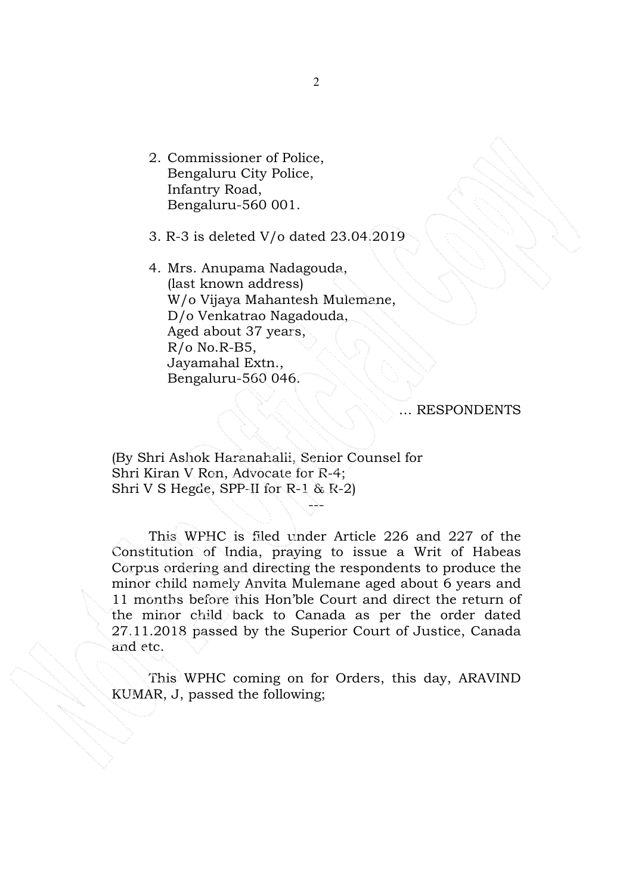- 2. Commissioner of Police, Bengaluru City Police, Infantry Road, Bengaluru-560 001.
- 3. R-3 is deleted V/o dated 23.04.2019
- 4. Mrs. Anupama Nadagouda, (last known address) W/o Vijaya Mahantesh Mulemane, D/o Venkatrao Nagadouda, Aged about 37 years, R/o No.R-B5, Jayamahal Extn., Bengaluru-560 046.

#### … RESPONDENTS

(By Shri Ashok Haranahalli, Senior Counsel for Shri Kiran V Ron, Advocate for R-4; Shri V S Hegde, SPP-II for R-1 & R-2)

 This WPHC is filed under Article 226 and 227 of the Constitution of India, praying to issue a Writ of Habeas Corpus ordering and directing the respondents to produce the minor child namely Anvita Mulemane aged about 6 years and 11 months before this Hon'ble Court and direct the return of the minor child back to Canada as per the order dated 27.11.2018 passed by the Superior Court of Justice, Canada and etc.

---

 This WPHC coming on for Orders, this day, ARAVIND KUMAR, J, passed the following;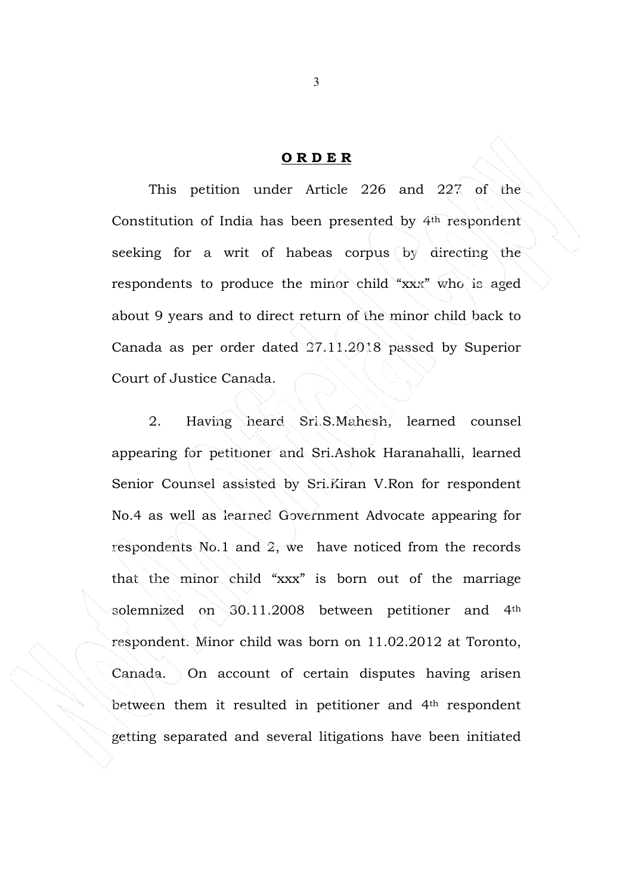#### **O R D E R**

 This petition under Article 226 and 227 of the Constitution of India has been presented by 4th respondent seeking for a writ of habeas corpus by directing the respondents to produce the minor child "xxx" who is aged about 9 years and to direct return of the minor child back to Canada as per order dated 27.11.2018 passed by Superior Court of Justice Canada.

 2. Having heard Sri.S.Mahesh, learned counsel appearing for petitioner and Sri.Ashok Haranahalli, learned Senior Counsel assisted by Sri.Kiran V.Ron for respondent No.4 as well as learned Government Advocate appearing for respondents No.1 and 2, we have noticed from the records that the minor child "xxx" is born out of the marriage solemnized on 30.11.2008 between petitioner and 4th respondent. Minor child was born on 11.02.2012 at Toronto, Canada. On account of certain disputes having arisen between them it resulted in petitioner and 4<sup>th</sup> respondent getting separated and several litigations have been initiated

3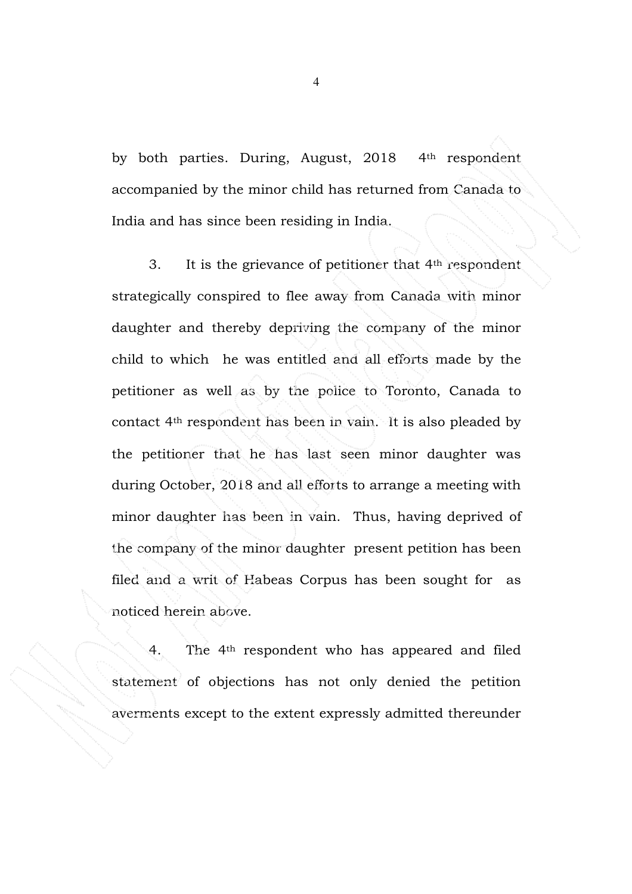by both parties. During, August, 2018 4<sup>th</sup> respondent accompanied by the minor child has returned from Canada to India and has since been residing in India.

 3. It is the grievance of petitioner that 4th respondent strategically conspired to flee away from Canada with minor daughter and thereby depriving the company of the minor child to which he was entitled and all efforts made by the petitioner as well as by the police to Toronto, Canada to contact 4th respondent has been in vain. It is also pleaded by the petitioner that he has last seen minor daughter was during October, 2018 and all efforts to arrange a meeting with minor daughter has been in vain. Thus, having deprived of the company of the minor daughter present petition has been filed and a writ of Habeas Corpus has been sought for as noticed herein above.

 4. The 4th respondent who has appeared and filed statement of objections has not only denied the petition averments except to the extent expressly admitted thereunder

4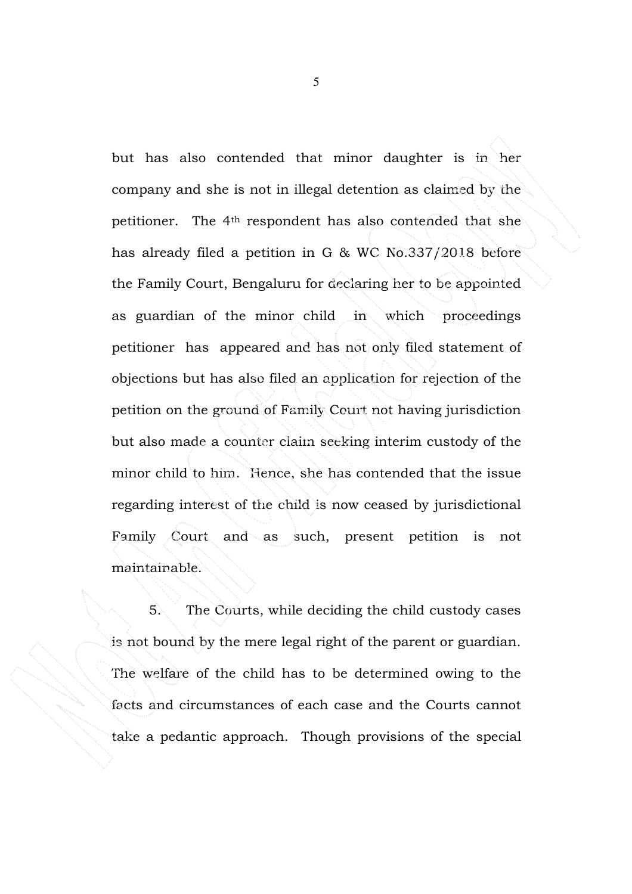but has also contended that minor daughter is in her company and she is not in illegal detention as claimed by the petitioner. The 4th respondent has also contended that she has already filed a petition in G & WC No.337/2018 before the Family Court, Bengaluru for declaring her to be appointed as guardian of the minor child in which proceedings petitioner has appeared and has not only filed statement of objections but has also filed an application for rejection of the petition on the ground of Family Court not having jurisdiction but also made a counter claim seeking interim custody of the minor child to him. Hence, she has contended that the issue regarding interest of the child is now ceased by jurisdictional Family Court and as such, present petition is not maintainable.

 5. The Courts, while deciding the child custody cases is not bound by the mere legal right of the parent or guardian. The welfare of the child has to be determined owing to the facts and circumstances of each case and the Courts cannot take a pedantic approach. Though provisions of the special

 $\sim$  5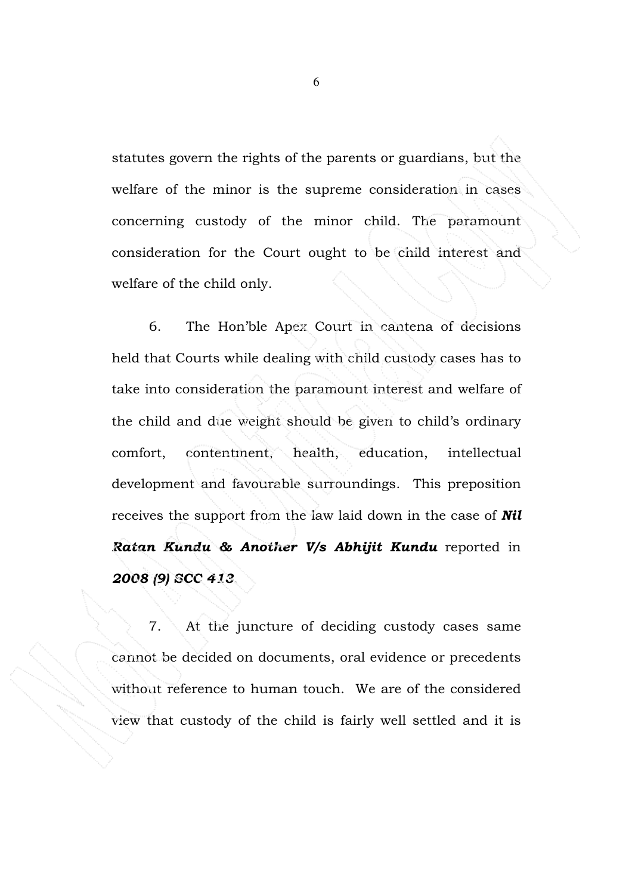statutes govern the rights of the parents or guardians, but the welfare of the minor is the supreme consideration in cases concerning custody of the minor child. The paramount consideration for the Court ought to be child interest and welfare of the child only.

 6. The Hon'ble Apex Court in cantena of decisions held that Courts while dealing with child custody cases has to take into consideration the paramount interest and welfare of the child and due weight should be given to child's ordinary comfort, contentment, health, education, intellectual development and favourable surroundings. This preposition receives the support from the law laid down in the case of *Nil Ratan Kundu & Another V/s Abhijit Kundu* reported in *2008 (9) SCC 413*.

 7. At the juncture of deciding custody cases same cannot be decided on documents, oral evidence or precedents without reference to human touch. We are of the considered view that custody of the child is fairly well settled and it is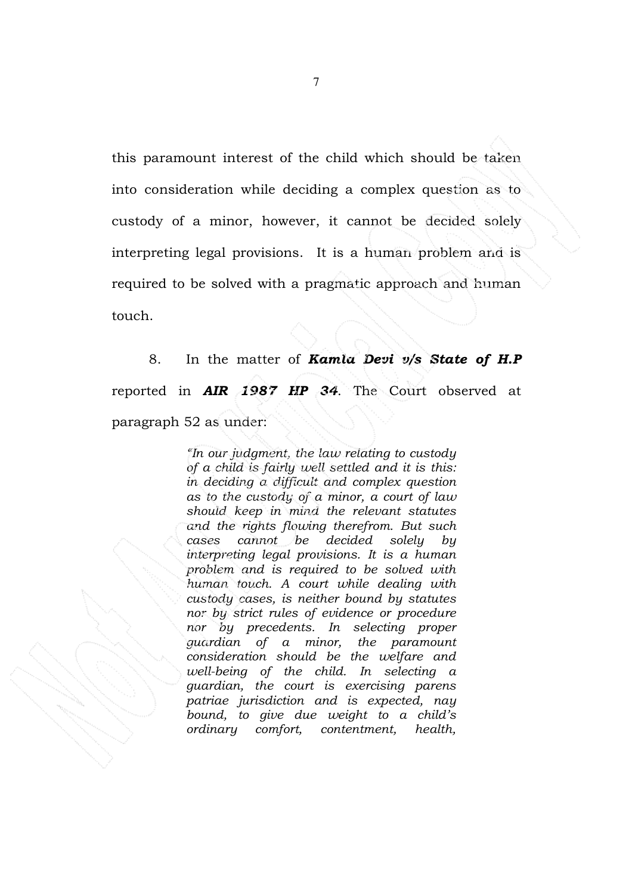this paramount interest of the child which should be taken into consideration while deciding a complex question as to custody of a minor, however, it cannot be decided solely interpreting legal provisions. It is a human problem and is required to be solved with a pragmatic approach and human touch.

 8. In the matter of *Kamla Devi v/s State of H.P* reported in *AIR 1987 HP 34*. The Court observed at paragraph 52 as under:

> *"In our judgment, the law relating to custody of a child is fairly well settled and it is this: in deciding a difficult and complex question as to the custody of a minor, a court of law should keep in mind the relevant statutes and the rights flowing therefrom. But such cases cannot be decided solely by interpreting legal provisions. It is a human problem and is required to be solved with human touch. A court while dealing with custody cases, is neither bound by statutes nor by strict rules of evidence or procedure nor by precedents. In selecting proper guardian of a minor, the paramount consideration should be the welfare and well-being of the child. In selecting a guardian, the court is exercising parens patriae jurisdiction and is expected, nay bound, to give due weight to a child's ordinary comfort, contentment, health,*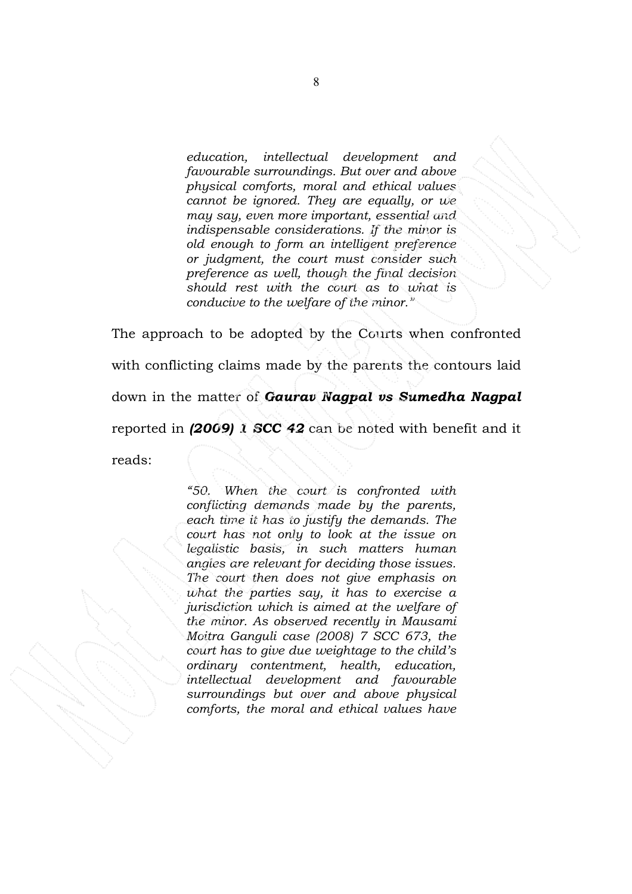*education, intellectual development and favourable surroundings. But over and above physical comforts, moral and ethical values cannot be ignored. They are equally, or we may say, even more important, essential and indispensable considerations. If the minor is old enough to form an intelligent preference or judgment, the court must consider such preference as well, though the final decision should rest with the court as to what is conducive to the welfare of the minor."* 

The approach to be adopted by the Courts when confronted with conflicting claims made by the parents the contours laid down in the matter of *Gaurav Nagpal vs Sumedha Nagpal* reported in *(2009) 1 SCC 42* can be noted with benefit and it reads:

> *"50. When the court is confronted with conflicting demands made by the parents, each time it has to justify the demands. The court has not only to look at the issue on legalistic basis, in such matters human angles are relevant for deciding those issues. The court then does not give emphasis on what the parties say, it has to exercise a jurisdiction which is aimed at the welfare of the minor. As observed recently in Mausami Moitra Ganguli case (2008) 7 SCC 673, the court has to give due weightage to the child's ordinary contentment, health, education, intellectual development and favourable surroundings but over and above physical comforts, the moral and ethical values have*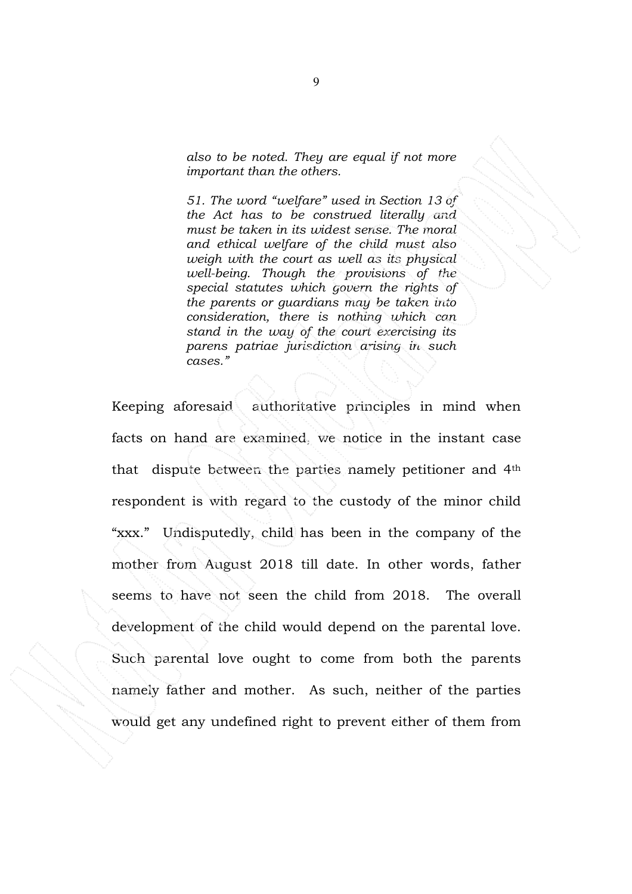*also to be noted. They are equal if not more important than the others.* 

*51. The word "welfare" used in Section 13 of the Act has to be construed literally and must be taken in its widest sense. The moral and ethical welfare of the child must also weigh with the court as well as its physical well-being. Though the provisions of the special statutes which govern the rights of the parents or guardians may be taken into consideration, there is nothing which can stand in the way of the court exercising its parens patriae jurisdiction arising in such cases."*

Keeping aforesaid authoritative principles in mind when facts on hand are examined, we notice in the instant case that dispute between the parties namely petitioner and 4th respondent is with regard to the custody of the minor child "xxx." Undisputedly, child has been in the company of the mother from August 2018 till date. In other words, father seems to have not seen the child from 2018. The overall development of the child would depend on the parental love. Such parental love ought to come from both the parents namely father and mother. As such, neither of the parties would get any undefined right to prevent either of them from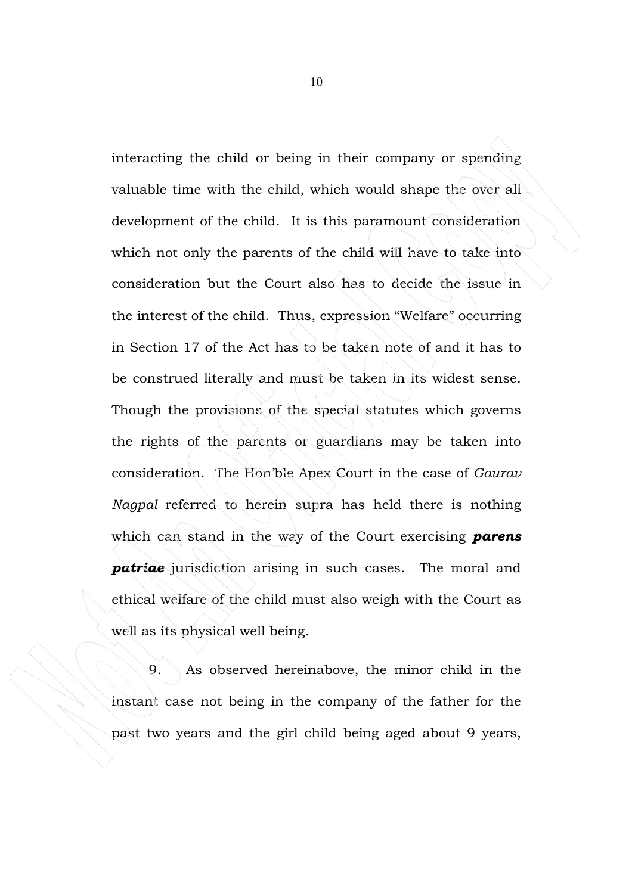interacting the child or being in their company or spending valuable time with the child, which would shape the over all development of the child. It is this paramount consideration which not only the parents of the child will have to take into consideration but the Court also has to decide the issue in the interest of the child. Thus, expression "Welfare" occurring in Section 17 of the Act has to be taken note of and it has to be construed literally and must be taken in its widest sense. Though the provisions of the special statutes which governs the rights of the parents or guardians may be taken into consideration. The Hon'ble Apex Court in the case of *Gaurav Nagpal* referred to herein supra has held there is nothing which can stand in the way of the Court exercising *parens patriae* jurisdiction arising in such cases. The moral and ethical welfare of the child must also weigh with the Court as well as its physical well being.

 9. As observed hereinabove, the minor child in the instant case not being in the company of the father for the past two years and the girl child being aged about 9 years,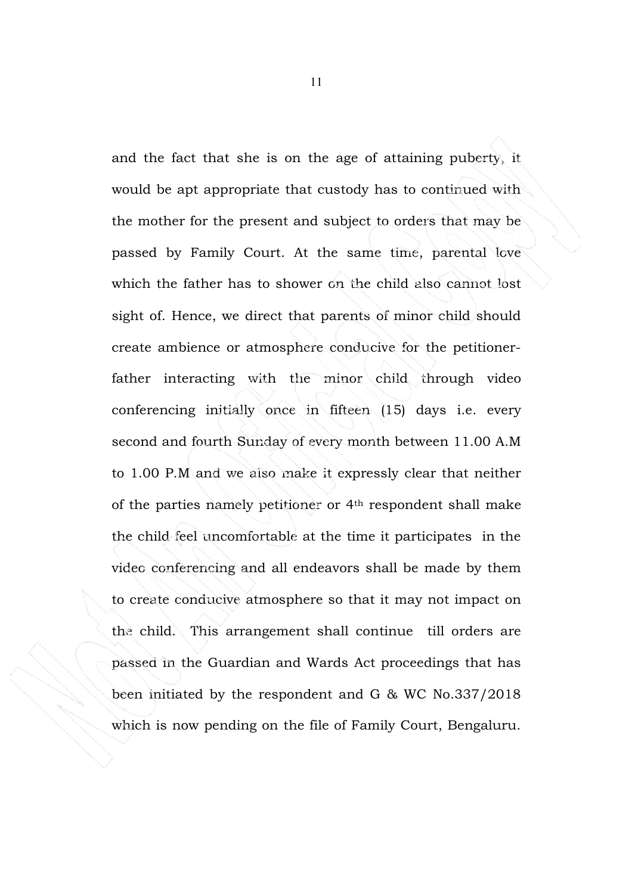and the fact that she is on the age of attaining puberty, it would be apt appropriate that custody has to continued with the mother for the present and subject to orders that may be passed by Family Court. At the same time, parental love which the father has to shower on the child also cannot lost sight of. Hence, we direct that parents of minor child should create ambience or atmosphere conducive for the petitionerfather interacting with the minor child through video conferencing initially once in fifteen (15) days i.e. every second and fourth Sunday of every month between 11.00 A.M to 1.00 P.M and we also make it expressly clear that neither of the parties namely petitioner or 4th respondent shall make the child feel uncomfortable at the time it participates in the video conferencing and all endeavors shall be made by them to create conducive atmosphere so that it may not impact on the child. This arrangement shall continue till orders are passed in the Guardian and Wards Act proceedings that has been initiated by the respondent and G & WC No.337/2018 which is now pending on the file of Family Court, Bengaluru.